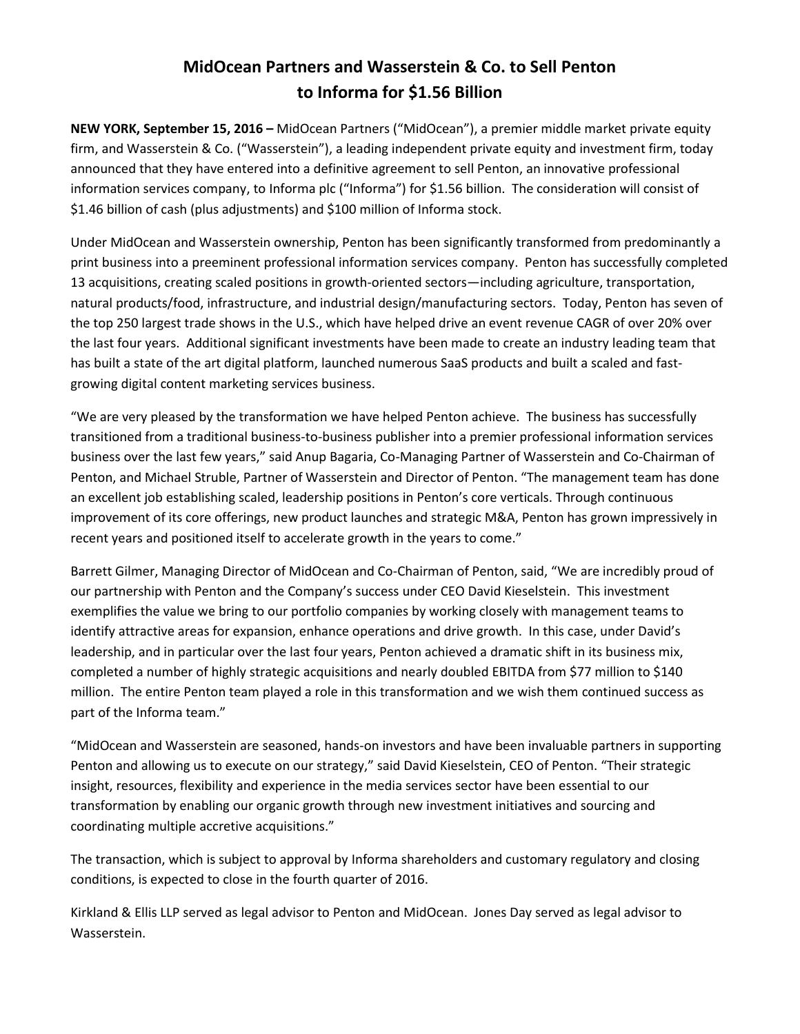# **MidOcean Partners and Wasserstein & Co. to Sell Penton to Informa for \$1.56 Billion**

**NEW YORK, September 15, 2016 –** MidOcean Partners ("MidOcean"), a premier middle market private equity firm, and Wasserstein & Co. ("Wasserstein"), a leading independent private equity and investment firm, today announced that they have entered into a definitive agreement to sell Penton, an innovative professional information services company, to Informa plc ("Informa") for \$1.56 billion. The consideration will consist of \$1.46 billion of cash (plus adjustments) and \$100 million of Informa stock.

Under MidOcean and Wasserstein ownership, Penton has been significantly transformed from predominantly a print business into a preeminent professional information services company. Penton has successfully completed 13 acquisitions, creating scaled positions in growth-oriented sectors—including agriculture, transportation, natural products/food, infrastructure, and industrial design/manufacturing sectors. Today, Penton has seven of the top 250 largest trade shows in the U.S., which have helped drive an event revenue CAGR of over 20% over the last four years. Additional significant investments have been made to create an industry leading team that has built a state of the art digital platform, launched numerous SaaS products and built a scaled and fastgrowing digital content marketing services business.

"We are very pleased by the transformation we have helped Penton achieve. The business has successfully transitioned from a traditional business-to-business publisher into a premier professional information services business over the last few years," said Anup Bagaria, Co-Managing Partner of Wasserstein and Co-Chairman of Penton, and Michael Struble, Partner of Wasserstein and Director of Penton. "The management team has done an excellent job establishing scaled, leadership positions in Penton's core verticals. Through continuous improvement of its core offerings, new product launches and strategic M&A, Penton has grown impressively in recent years and positioned itself to accelerate growth in the years to come."

Barrett Gilmer, Managing Director of MidOcean and Co-Chairman of Penton, said, "We are incredibly proud of our partnership with Penton and the Company's success under CEO David Kieselstein. This investment exemplifies the value we bring to our portfolio companies by working closely with management teams to identify attractive areas for expansion, enhance operations and drive growth. In this case, under David's leadership, and in particular over the last four years, Penton achieved a dramatic shift in its business mix, completed a number of highly strategic acquisitions and nearly doubled EBITDA from \$77 million to \$140 million. The entire Penton team played a role in this transformation and we wish them continued success as part of the Informa team."

"MidOcean and Wasserstein are seasoned, hands-on investors and have been invaluable partners in supporting Penton and allowing us to execute on our strategy," said David Kieselstein, CEO of Penton. "Their strategic insight, resources, flexibility and experience in the media services sector have been essential to our transformation by enabling our organic growth through new investment initiatives and sourcing and coordinating multiple accretive acquisitions."

The transaction, which is subject to approval by Informa shareholders and customary regulatory and closing conditions, is expected to close in the fourth quarter of 2016.

Kirkland & Ellis LLP served as legal advisor to Penton and MidOcean. Jones Day served as legal advisor to Wasserstein.